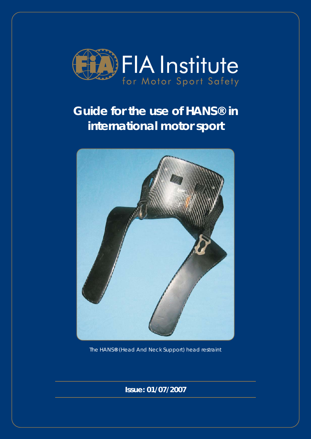

# **Guide for the use of HANS® in international motor sport**



The HANS**®** (Head And Neck Support) head restraint

**Issue: 01/07/2007**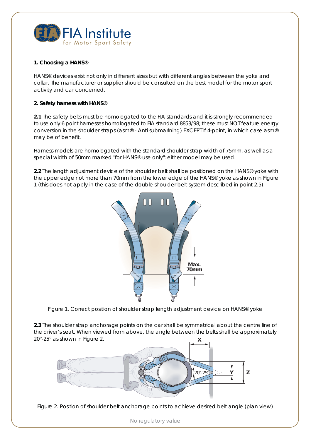

# **1. Choosing a HANS®**

HANS® devices exist not only in different sizes but with different angles between the yoke and collar. The manufacturer or supplier should be consulted on the best model for the motor sport activity and car concerned.

# **2. Safety harness with HANS®**

**2.1** The safety belts must be homologated to the FIA standards and it is strongly recommended to use only 6 point harnesses homologated to FIA standard 8853/98; these must NOT feature energy conversion in the shoulder straps (asm® - Anti submarining) EXCEPT if 4-point, in which case asm® may be of benefit.

Harness models are homologated with the standard shoulder strap width of 75mm, as well as a special width of 50mm marked "for HANS® use only": either model may be used.

**2.2** The length adjustment device of the shoulder belt shall be positioned on the HANS® yoke with the upper edge not more than 70mm from the lower edge of the HANS® yoke as shown in Figure 1 (this does not apply in the case of the double shoulder belt system described in point 2.5).



Figure 1. Correct position of shoulder strap length adjustment device on HANS® yoke

**2.3** The shoulder strap anchorage points on the car shall be symmetrical about the centre line of the driver's seat. When viewed from above, the angle between the belts shall be approximately 20°-25° as shown in Figure 2. **X**



Figure 2. Position of shoulder belt anchorage points to achieve desired belt angle (plan view)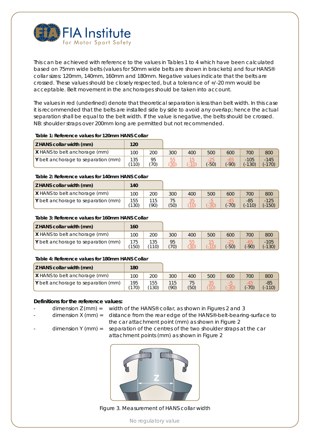

This can be achieved with reference to the values in Tables 1 to 4 which have been calculated based on 75mm wide belts (values for 50mm wide belts are shown in brackets) and four HANS® collar sizes: 120mm, 140mm, 160mm and 180mm. Negative values indicate that the belts are crossed. These values should be closely respected, but a tolerance of +/-20 mm would be acceptable. Belt movement in the anchorages should be taken into account.

The values in red (underlined) denote that theoretical separation is less than belt width. In this case it is recommended that the belts are installed side by side to avoid any overlap; hence the actual separation shall be equal to the belt width. If the value is negative, the belts should be crossed. *NB: shoulder straps over 200mm long are permitted but not recommended.*

#### **Table 1: Reference values for 120mm HANS Collar**

| Z HANS collar width (mm)             | 120          |           |           |        |          |          |                    |                    |
|--------------------------------------|--------------|-----------|-----------|--------|----------|----------|--------------------|--------------------|
| <b>X</b> HANS to belt anchorage (mm) | 100          | 200       | 300       | 400    | 500      | 600      | 700                | 800                |
| Y belt anchorage to separation (mm)  | 135<br>(110) | 95<br>70) | 55<br>30) | $-10'$ | $( -50)$ | $( -90)$ | $-105$<br>$(-130)$ | $-145$<br>$(-170)$ |

#### **Table 2: Reference values for 140mm HANS Collar**

| Z HANS collar width (mm)             | 140          |             |            |      |        |         |                   |                    |
|--------------------------------------|--------------|-------------|------------|------|--------|---------|-------------------|--------------------|
| <b>X</b> HANS to belt anchorage (mm) | 100          | 200         | 300        | 400  | 500    | 600     | 700               | 800                |
| Y belt anchorage to separation (mm)  | 155<br>(130) | 115<br>(90) | 75<br>(50) | (10) | $-301$ | $(-70)$ | $-85$<br>$(-110)$ | $-125$<br>$(-150)$ |

#### **Table 3: Reference values for 160mm HANS Collar**

| Z HANS collar width (mm)             | 160          |              |            |                         |        |         |        |                    |
|--------------------------------------|--------------|--------------|------------|-------------------------|--------|---------|--------|--------------------|
| <b>X</b> HANS to belt anchorage (mm) | 100          | 200          | 300        | 400                     | 500    | 600     | 700    | 800                |
| Y belt anchorage to separation (mm)  | 175<br>(150) | 135<br>(110) | 95<br>(70) | 55<br>$(\overline{30})$ | $-101$ | $(-50)$ | $-90)$ | $-105$<br>$(-130)$ |

#### **Table 4: Reference values for 180mm HANS Collar**

| <b>Z HANS collar width (mm)</b>      | 180          |              |             |            |            |        |         |                   |
|--------------------------------------|--------------|--------------|-------------|------------|------------|--------|---------|-------------------|
| <b>X</b> HANS to belt anchorage (mm) | 100          | 200          | 300         | 400        | 500        | 600    | 700     | 800               |
| Y belt anchorage to separation (mm)  | 195<br>(170) | 155<br>(130) | 115<br>(90) | 75<br>(50) | 35<br>(10) | $-30)$ | $(-70)$ | $-85$<br>$(-110)$ |

## **Definitions for the reference values:**

dimension Z (mm) = width of the HANS® collar, as shown in Figures 2 and 3

dimension X (mm) = distance from the rear edge of the HANS®-belt-bearing-surface to the car attachment point (mm) as shown in Figure 2

- 
- dimension Y ( $mm$ ) = separation of the centres of the two shoulder straps at the car attachment points (mm) as shown in Figure 2



Figure 3. Measurement of HANS collar width

No regulatory value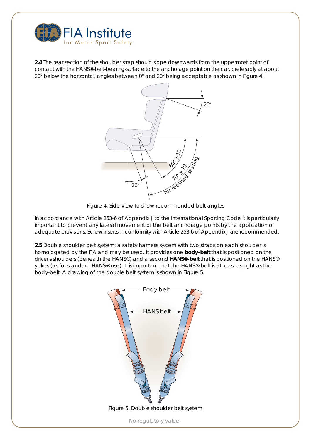

**2.4** The rear section of the shoulder strap should slope downwards from the uppermost point of contact with the HANS®-belt-bearing-surface to the anchorage point on the car, preferably at about 20° below the horizontal, angles between 0° and 20° being acceptable as shown in Figure 4.



Figure 4. Side view to show recommended belt angles

In accordance with Article 253-6 of Appendix J to the International Sporting Code it is particularly important to prevent any lateral movement of the belt anchorage points by the application of adequate provisions. Screw inserts in conformity with Article 253-6 of Appendix J are recommended.

**2.5** Double shoulder belt system: a safety harness system with two straps on each shoulder is homologated by the FIA and may be used. It provides one **body-belt** that is positioned on the driver's shoulders (beneath the HANS®) and a second **HANS®-belt** that is positioned on the HANS® yokes (as for standard HANS® use). It is important that the HANS®-belt is at least as tight as the body-belt. A drawing of the double belt system is shown in Figure 5.



Figure 5. Double shoulder belt system

No regulatory value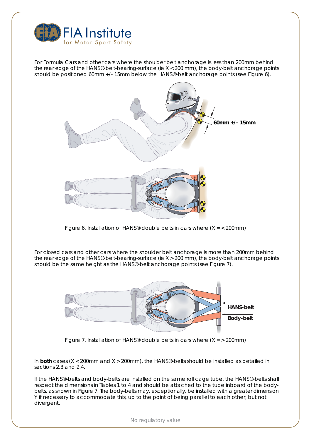

For Formula Cars and other cars where the shoulder belt anchorage is less than 200mm behind the rear edge of the HANS®-belt-bearing-surface (ie X < 200 mm), the body-belt anchorage points should be positioned 60mm +/- 15mm below the HANS®-belt anchorage points (see Figure 6).



Figure 6. Installation of HANS® double belts in cars where  $(X = 200$ mm)

For closed cars and other cars where the shoulder belt anchorage is more than 200mm behind the rear edge of the HANS®-belt-bearing-surface (ie X > 200 mm), the body-belt anchorage points should be the same height as the HANS®-belt anchorage points (see Figure 7).



Figure 7. Installation of HANS® double belts in cars where  $(X = 200$ mm)

In **both** cases (X < 200mm and X > 200mm), the HANS®-belts should be installed as detailed in sections 2.3 and 2.4.

If the HANS®-belts and body-belts are installed on the same roll cage tube, the HANS®-belts shall respect the dimensions in Tables 1 to 4 and should be attached to the tube inboard of the bodybelts, as shown in Figure 7. The body-belts may, exceptionally, be installed with a greater dimension Y if necessary to accommodate this, up to the point of being parallel to each other, but not divergent.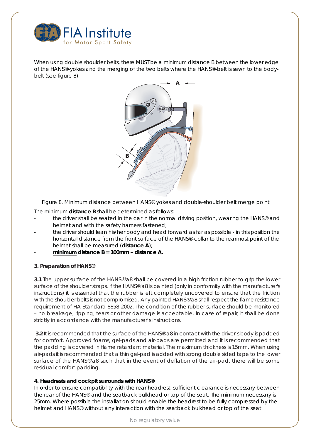

When using double shoulder belts, there MUST be a minimum distance B between the lower edge of the HANS®-yokes and the merging of the two belts where the HANS®-belt is sewn to the bodybelt (see figure 8).



Figure 8. Minimum distance between HANS® yokes and double-shoulder belt merge point

The minimum **distance B** shall be determined as follows:

- the driver shall be seated in the car in the normal driving position, wearing the HANS® and helmet and with the safety harness fastened;
- the driver should lean his/her body and head forward as far as possible in this position the horizontal distance from the front surface of the HANS®-collar to the rearmost point of the helmet shall be measured (**distance A**);
- **minimum distance B = 100mm distance A.**

# **3. Preparation of HANS®**

**3.1** The upper surface of the HANS®'a8 shall be covered in a high friction rubber to grip the lower surface of the shoulder straps. If the HANS®'a8 is painted (only in conformity with the manufacturer's instructions) it is essential that the rubber is left completely uncovered to ensure that the friction with the shoulder belts is not compromised. Any painted HANS®'a8 shall respect the flame resistance requirement of FIA Standard 8858-2002. The condition of the rubber surface should be monitored – no breakage, ripping, tears or other damage is acceptable. In case of repair, it shall be done strictly in accordance with the manufacturer's instructions.

 **3.2** It is recommended that the surface of the HANS®'a8 in contact with the driver's body is padded for comfort. Approved foams, gel-pads and air-pads are permitted and it is recommended that the padding is covered in flame retardant material. The maximum thickness is 15mm. When using air-pads it is recommended that a thin gel-pad is added with strong double sided tape to the lower surface of the HANS®'a8 such that in the event of deflation of the air-pad, there will be some residual comfort padding.

## **4. Headrests and cockpit surrounds with HANS®**

In order to ensure compatibility with the rear headrest, sufficient clearance is necessary between the rear of the HANS® and the seatback bulkhead or top of the seat. The minimum necessary is 25mm. Where possible the installation should enable the headrest to be fully compressed by the helmet and HANS® without any interaction with the seatback bulkhead or top of the seat.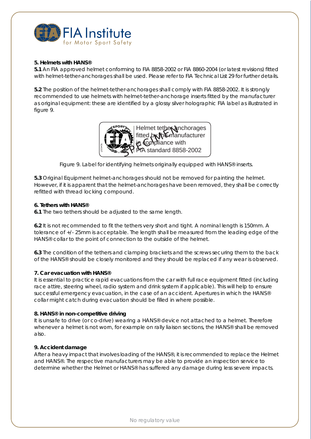

# **5. Helmets with HANS®**

**5.1** An FIA approved helmet conforming to FIA 8858-2002 or FIA 8860-2004 (or latest revisions) fitted with helmet-tether-anchorages shall be used. Please refer to FIA Technical List 29 for further details.

**5.2** The position of the helmet-tether-anchorages shall comply with FIA 8858-2002. It is strongly recommended to use helmets with helmet-tether-anchorage inserts fitted by the manufacturer as original equipment: these are identified by a glossy silver holographic FIA label as illustrated in figure 9.



Figure 9. Label for identifying helmets originally equipped with HANS® inserts.

**5.3** Original Equipment helmet-anchorages should not be removed for painting the helmet. However, if it is apparent that the helmet-anchorages have been removed, they shall be correctly refitted with thread locking compound.

# **6. Tethers with HANS®**

**6.1** The two tethers should be adjusted to the same length.

**6.2** It is not recommended to fit the tethers very short and tight. A nominal length is 150mm. A tolerance of +/- 25mm is acceptable. The length shall be measured from the leading edge of the HANS® collar to the point of connection to the outside of the helmet.

**6.3** The condition of the tethers and clamping brackets and the screws securing them to the back of the HANS® should be closely monitored and they should be replaced if any wear is observed.

## **7. Car evacuation with HANS®**

It is essential to practice rapid evacuations from the car with full race equipment fitted (including race attire, steering wheel, radio system and drink system if applicable). This will help to ensure successful emergency evacuation, in the case of an accident. Apertures in which the HANS® collar might catch during evacuation should be filled in where possible.

## **8. HANS® in non-competitive driving**

It is unsafe to drive (or co-drive) wearing a HANS® device not attached to a helmet. Therefore whenever a helmet is not worn, for example on rally liaison sections, the HANS® shall be removed also.

# **9. Accident damage**

After a heavy impact that involves loading of the HANS®, it is recommended to replace the Helmet and HANS®. The respective manufacturers may be able to provide an inspection service to determine whether the Helmet or HANS® has suffered any damage during less severe impacts.